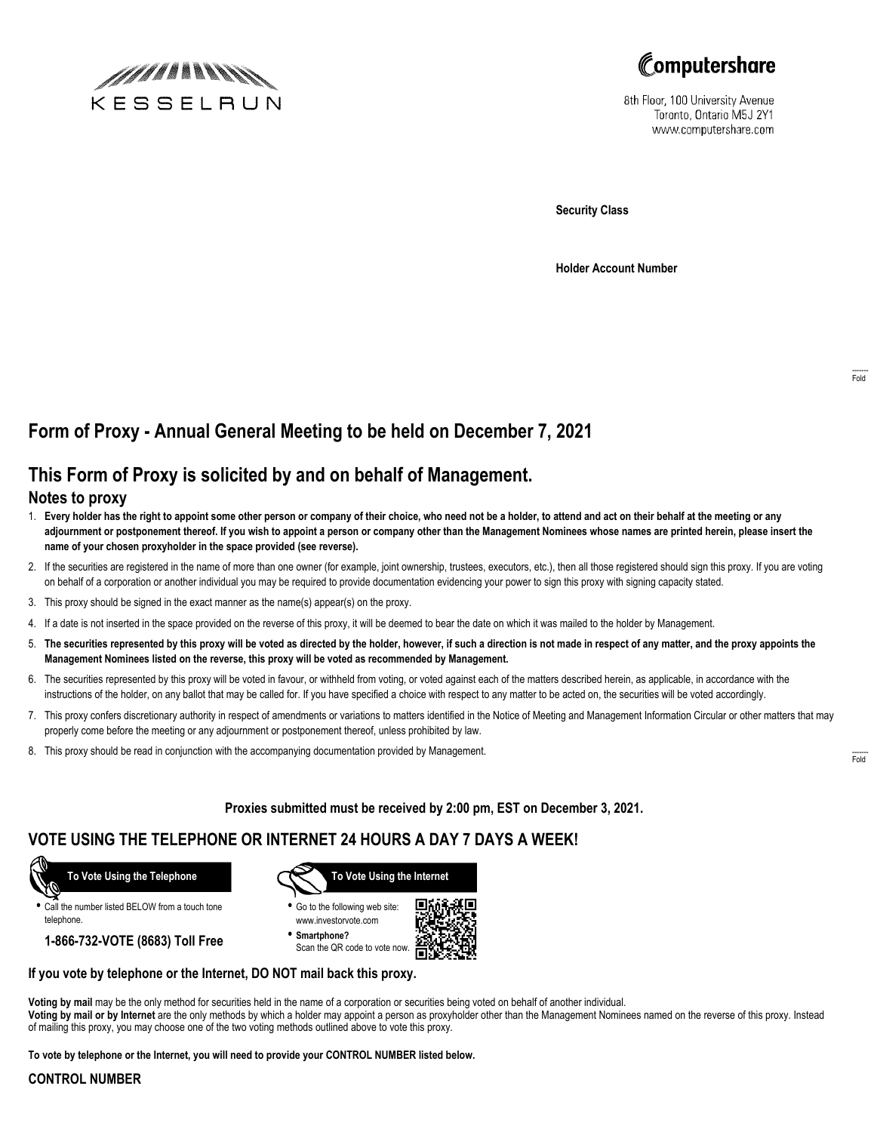



8th Floor, 100 University Avenue Toronto, Ontario M5J 2Y1 www.computershare.com

**Security Class**

**Holder Account Number**

# **Form of Proxy - Annual General Meeting to be held on December 7, 2021**

## **This Form of Proxy is solicited by and on behalf of Management.**

#### **Notes to proxy**

- 1. **Every holder has the right to appoint some other person or company of their choice, who need not be a holder, to attend and act on their behalf at the meeting or any adjournment or postponement thereof. If you wish to appoint a person or company other than the Management Nominees whose names are printed herein, please insert the name of your chosen proxyholder in the space provided (see reverse).**
- 2. If the securities are registered in the name of more than one owner (for example, joint ownership, trustees, executors, etc.), then all those registered should sign this proxy. If you are voting on behalf of a corporation or another individual you may be required to provide documentation evidencing your power to sign this proxy with signing capacity stated.
- 3. This proxy should be signed in the exact manner as the name(s) appear(s) on the proxy.
- 4. If a date is not inserted in the space provided on the reverse of this proxy, it will be deemed to bear the date on which it was mailed to the holder by Management.
- 5. **The securities represented by this proxy will be voted as directed by the holder, however, if such a direction is not made in respect of any matter, and the proxy appoints the Management Nominees listed on the reverse, this proxy will be voted as recommended by Management.**
- 6. The securities represented by this proxy will be voted in favour, or withheld from voting, or voted against each of the matters described herein, as applicable, in accordance with the instructions of the holder, on any ballot that may be called for. If you have specified a choice with respect to any matter to be acted on, the securities will be voted accordingly.
- 7. This proxy confers discretionary authority in respect of amendments or variations to matters identified in the Notice of Meeting and Management Information Circular or other matters that may properly come before the meeting or any adjournment or postponement thereof, unless prohibited by law.
- 8. This proxy should be read in conjunction with the accompanying documentation provided by Management.

**Proxies submitted must be received by 2:00 pm, EST on December 3, 2021.**

## **VOTE USING THE TELEPHONE OR INTERNET 24 HOURS A DAY 7 DAYS A WEEK!**



**•** Call the number listed BELOW from a touch tone telephone.

**1-866-732-VOTE (8683) Toll Free**



**•** Go to the following web site: www.investorvote.com

**• Smartphone?** Scan the QR code to vote now.



#### **If you vote by telephone or the Internet, DO NOT mail back this proxy.**

**Voting by mail** may be the only method for securities held in the name of a corporation or securities being voted on behalf of another individual. **Voting by mail or by Internet** are the only methods by which a holder may appoint a person as proxyholder other than the Management Nominees named on the reverse of this proxy. Instead of mailing this proxy, you may choose one of the two voting methods outlined above to vote this proxy.

**To vote by telephone or the Internet, you will need to provide your CONTROL NUMBER listed below.**

#### **CONTROL NUMBER**